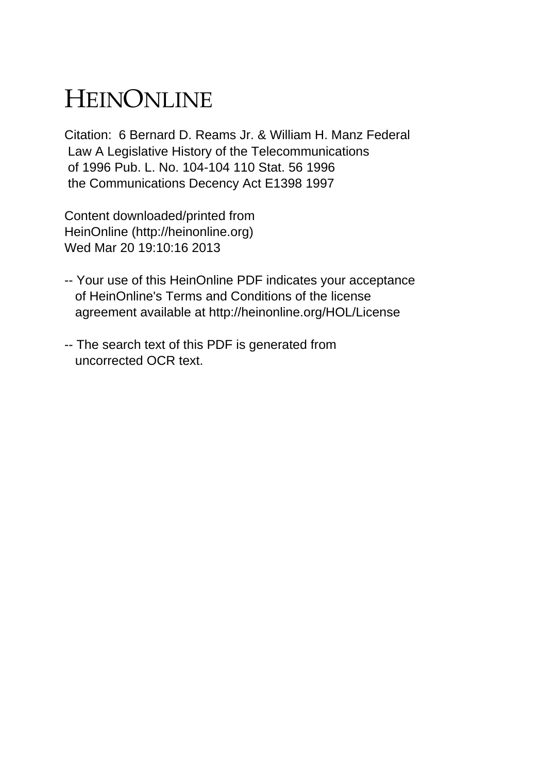## HEINONLINE

Citation: 6 Bernard D. Reams Jr. & William H. Manz Federal Law A Legislative History of the Telecommunications of 1996 Pub. L. No. 104-104 110 Stat. 56 1996 the Communications Decency Act E1398 1997

Content downloaded/printed from HeinOnline (http://heinonline.org) Wed Mar 20 19:10:16 2013

- -- Your use of this HeinOnline PDF indicates your acceptance of HeinOnline's Terms and Conditions of the license agreement available at http://heinonline.org/HOL/License
- -- The search text of this PDF is generated from uncorrected OCR text.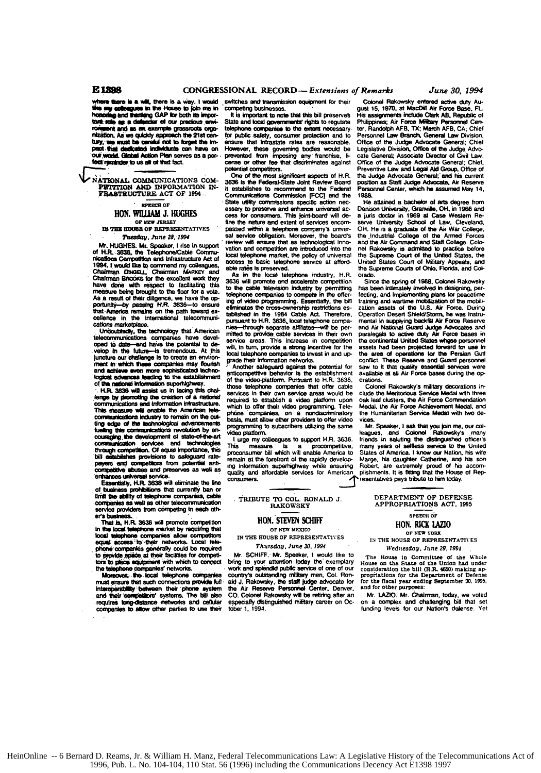nza thora in a w ill there is a view I would where were to so with the House to join the in-<br>like any colleagues in the House to join me in<br>honoring and thanking GAP for both its important: role as a defender of our precious envient and as an example gr **saroota** orga nization. As we quickly approach the 21st centhesister no we spring uppressed the state and<br>tury, use must be careful not to forget the imour world. Global Action Plan serves as a perfect reminder to us all of that fact.

NATIONAL COMMUNICATIONS COM-PETITION AND INFORMATION IN-<br>FRASTRUCTURE ACT OF 1994

**SPEECH OF** 

## HON. WILLIAM J. HUGHES OP NEW JERSEY

IN THE HOUSE OF REPRESENTATIVES Tuesday, June 28, 1994

Mr. HUGHES. Mr. Speaker, I rise in support of H.R. 3838, the Telephone/Cable Communications Competition and Infrastructure Act of 1994. I would like to commend my collea<br>Chairman Diwaeu. Chairman MARKEY agu -<br>and Chairman BROOKS for the excellent work they have done with respect to facilitating this As a result of their diligence, we have the op-<br>portunity-by passing H.R. 3636-to ensure that America rangins on the path toward ax-<br>strategies on the path toward ax-<br>cellence in the international telecommunications marketola

Undoubtedly, the technology that American<br>telecommunications companies have developed to date-and have the potential to develop in the future-is tremendous. At this juncture our challenge is to create an environ-<br>ment in which these companies may flourish and achieve even more sophisticated technological advances teading to the establishment of the national information superhighway.<br>
: H.R. 3636 will assist us in facing this chal-

lenge by promoting the creation of a national communications and information infrastructure. This measure will enable the American te communications. Industry to remain on the cut-<br>ting edge of the technological adventuments<br>fueling the communications in determined function<br>couraging the development of state-of-the-art communication services and technologies<br>through competition. Of equal importance, this<br>bill establishes provisions to safeguard ratepayers and competitors from potential anti-<br>competitive abuses and preserves as well as enhances universal service.<br>Essantially, H.R. 3636 will eliminate the line

of business prohibitions that currently ban or<br>limit the ability of telephone companies, cable<br>companies as well as other telecommunication service providers from competing in each athers bu

That is, H.R. 3636 will promote competition<br>in the local telephone market by requiring that local telephone companies allow competitors equal access to their networks. Local tele phone companies generally could be required<br>to provide space at their facilities for competitors to place equipment with which to connect the telephone companies' networks.<br>Moreover, the local telephone compa-

must ensure that such connections provide full reperability between their phone system<br>their competitors' systems. The bill also inter and requires tong-distance networks and cellular companies to allow other parties to use their

switches and transmission equipment for their ting businesses.

It is important to note that this bill preserves<br>State and local governments' rights to regulate telephone companies to the extent nec isary for public safety, consumer protection and to ensure that intrastate rates are reasonable. However, these governing bodies would be<br>prevented from imposing any franchise, license or other fee that discriminates against potential correctitors.

One of the most significant aspects of H.R.<br>3636 is the Federal-State Joint Review Board it establishes to recommend to the Federal Communications Commission [FCC] and the State utility commissions specific action necry to preserve and enhance universal access for consumers. This inint-board will define the nature and extent of services encompassed within a telephone company's universal service oblination. Moreover, the board's will ensure that as technologic vation and compatition are introduced into the local telephone market, the policy of universal access to basic telephone service at affordable rates is preserved.

As in the local telephone industry. H.R. 3636 will promote and accelerate competition to the cable television industry by permitting telephone companies to compete in the offering of video programming. Essentially, the bill eliminates the cross-ownership restrictions established in the 1984 Cable Act. Therefore,<br>pursuant to H.R. 3636, local telephone compawill be perthrough separate affiliates mitted to provide cable services in their own service areas. This increase in competition will, in turn, provide a strong incentive for the<br>local talephone companies to invest in and upgrade their information networks

Another safeguard against the optential for anticompetitive behavior is the establishment<br>of the video-platform. Pursuant to H.R. 3636. those telephone companies that offer services in their nun service areas would be required to establish a video platform upon which to offer their video programming. Telephone companies, on a nondiscriminatory basis, must allow other providers to offer video<br>programming to subscribers utilizing the same eo platform

I urge my colleagues to support H.R. 3636. This measure is a procompetitive,<br>proconsumer bill which will enable America to remain at the forefront of the rapidly developing information superhighway while ensuring<br>quality and affordable services for American ~<br>CONSUI ners

TRIBUTE TO COL. RONALD J. RAKOWSKY

## HON. STEVEN SCHIFF OF NEW MEXICO

IN THE HOUSE OF REPRESENTATIVES

Thursday, June 30, 1994

Mr. SCHIFF, Mr. Speaker, I would like to bring to your attention today the exemplary<br>work and splendid public service of one of our country's outstanding military men, Col. Ronaid J. Rakowsky, the staff judge advocate for<br>the Air Reserve Personnel Center, Deriver, CO. Colonel Rakowsky will be retiring after an especially distinguished military career on October 1, 1994.

Colonel Rakowsky entered active duty August 15, 1970, at MacDill Air Force Base, FL. His assignments include Clark AB, Republic of<br>Philippines; Air Force Military Personnel Center, Randolph AFB, TX; March AFB, CA; Chief<br>Personnel Law Branch, General Law Division. Office of the Judge Advocate General; Chief<br>Legislative Division, Office of the Judge Advocate General: Associate Director of Civil Law. Office of the Judge Advocate General; Chief Preventive Law and Legal Aid Group, Office of the Judge Advocate General; and his current position as Staff Judge Advocate, Air Reserve Personnel Center, which he assumed May 14, 1988

He attained a bachelor of arts degree from Denison University, Granville, OH, in 1966 and<br>a juris doctor in 1969 at Case Western Reserve University School of Law, Cleveland, OH. He is a graduate of the Air War College,<br>the Industrial College of the Armed Forces and the Air Command and Staff College. Colo-<br>net Rakowsky is admitted to practice before<br>the Supreme Court of the United States, the United States Court of Military Appeals, and<br>the Supreme Courts of Ohio, Florida, and Colorado

Since the spring of 1988, Colonel Rakowsky has been intimately involved in designing, per-<br>fecting, and implementing plans for peacetime training and wartime mobilization of the mobilization assets of the U.S. Air Force, During Operation Desert Shield/Storm, he was instru mental in supplying backfill Air Force Reserve<br>and Air National Guard Judge Advocates and paralegals to active duty Air Force bases in the continental United States whose personnel assets had been projected forward for use in the area of operations for the Persian Gulf conflict. These Reserve and Guard personnel<br>saw to it that quality essential services were available at all Air Force bases during the op erations.

atons:<br>Colonel Rakowsky's military decorations include the Meritoria is Service Medal with three oak leaf clusters, the Air Force Commendation Medal, the Air Force Achievement Medal, and<br>the Humanitarian Service Medal with two de-

vices.<br>Mr. Speaker, I ask that you join me, our col-<br>leagues, and Colonel Rakowsky's many<br>friends in saluting the distinguished officer's many years of selfless service to the United States of America, I know our Nation, his wife Marge, his daughter Catherine, and his son Robert, are extremely proud of his accom-<br>pishments. It is fitting that the House of Representatives pays tribute to him today

> DEPARTMENT OF DEFENSE APPROPRIATIONS ACT 1995

## SPEECH OF HON. RICK LAZIO OF NEW YORK

IN THE HOUSE OF REPRESENTATIVES Wednesday, June 29, 1994

House in Committee of the The House on the State of the Union had under<br>consideration the bill (H.R. 4650) making ap-<br>propriations for the Department of Defense for the fiscal year ending September 30, 1995. and for other purposes:

Mr. LAZIO. Mr. Chairman, today, we voted<br>on a complex and chailenging bill that set<br>funding levels for our Nation's defense. Yet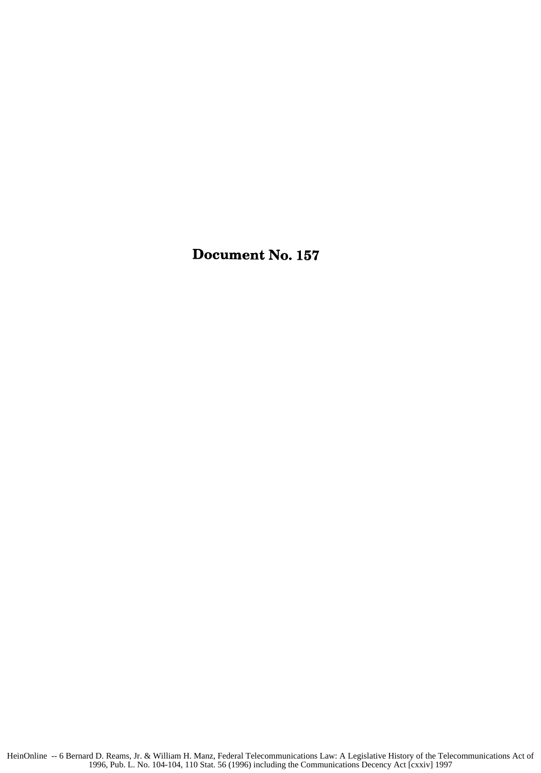Document No. **157**